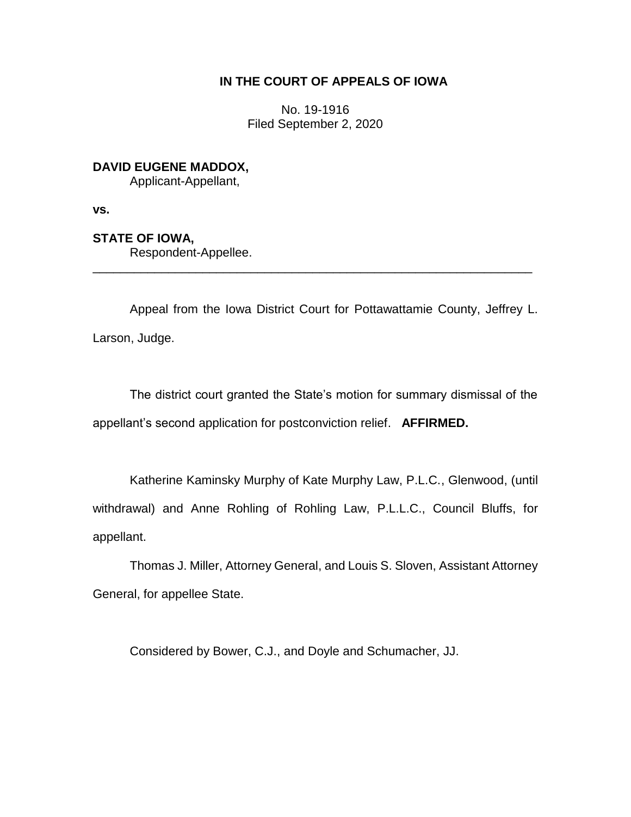## **IN THE COURT OF APPEALS OF IOWA**

No. 19-1916 Filed September 2, 2020

# **DAVID EUGENE MADDOX,**

Applicant-Appellant,

**vs.**

## **STATE OF IOWA,**

Respondent-Appellee.

Appeal from the Iowa District Court for Pottawattamie County, Jeffrey L. Larson, Judge.

\_\_\_\_\_\_\_\_\_\_\_\_\_\_\_\_\_\_\_\_\_\_\_\_\_\_\_\_\_\_\_\_\_\_\_\_\_\_\_\_\_\_\_\_\_\_\_\_\_\_\_\_\_\_\_\_\_\_\_\_\_\_\_\_

The district court granted the State's motion for summary dismissal of the appellant's second application for postconviction relief. **AFFIRMED.**

Katherine Kaminsky Murphy of Kate Murphy Law, P.L.C., Glenwood, (until withdrawal) and Anne Rohling of Rohling Law, P.L.L.C., Council Bluffs, for appellant.

Thomas J. Miller, Attorney General, and Louis S. Sloven, Assistant Attorney General, for appellee State.

Considered by Bower, C.J., and Doyle and Schumacher, JJ.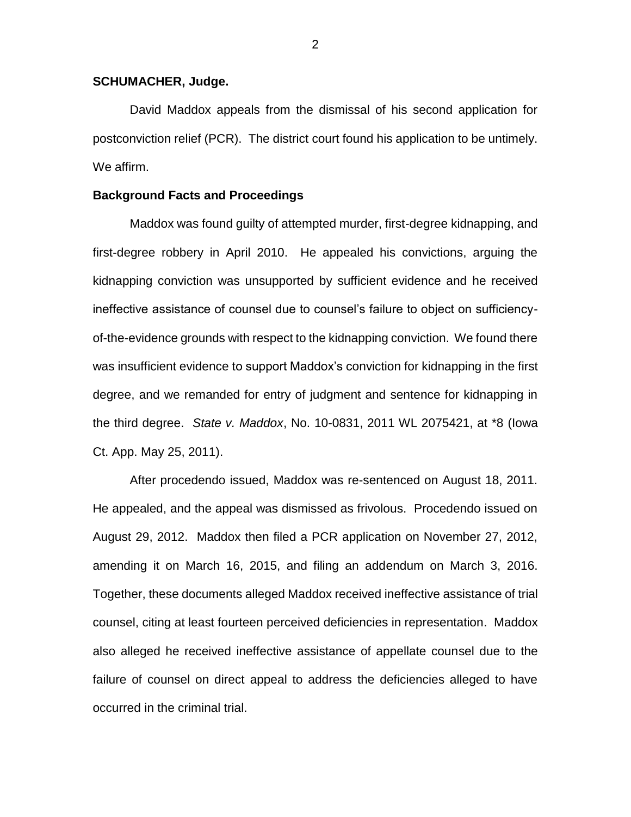#### **SCHUMACHER, Judge.**

David Maddox appeals from the dismissal of his second application for postconviction relief (PCR). The district court found his application to be untimely. We affirm.

#### **Background Facts and Proceedings**

Maddox was found guilty of attempted murder, first-degree kidnapping, and first-degree robbery in April 2010. He appealed his convictions, arguing the kidnapping conviction was unsupported by sufficient evidence and he received ineffective assistance of counsel due to counsel's failure to object on sufficiencyof-the-evidence grounds with respect to the kidnapping conviction. We found there was insufficient evidence to support Maddox's conviction for kidnapping in the first degree, and we remanded for entry of judgment and sentence for kidnapping in the third degree. *State v. Maddox*, No. 10-0831, 2011 WL 2075421, at \*8 (Iowa Ct. App. May 25, 2011).

After procedendo issued, Maddox was re-sentenced on August 18, 2011. He appealed, and the appeal was dismissed as frivolous. Procedendo issued on August 29, 2012. Maddox then filed a PCR application on November 27, 2012, amending it on March 16, 2015, and filing an addendum on March 3, 2016. Together, these documents alleged Maddox received ineffective assistance of trial counsel, citing at least fourteen perceived deficiencies in representation. Maddox also alleged he received ineffective assistance of appellate counsel due to the failure of counsel on direct appeal to address the deficiencies alleged to have occurred in the criminal trial.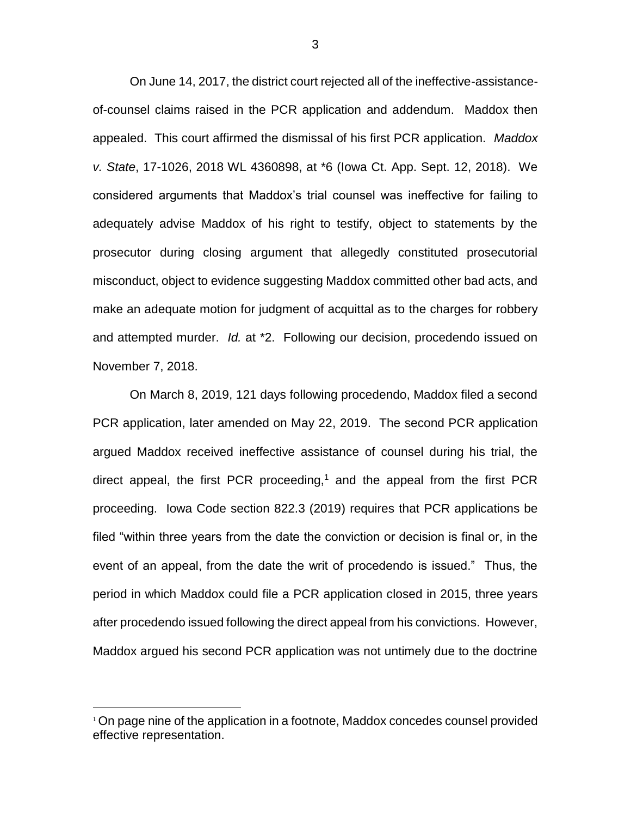On June 14, 2017, the district court rejected all of the ineffective-assistanceof-counsel claims raised in the PCR application and addendum. Maddox then appealed. This court affirmed the dismissal of his first PCR application. *Maddox v. State*, 17-1026, 2018 WL 4360898, at \*6 (Iowa Ct. App. Sept. 12, 2018). We considered arguments that Maddox's trial counsel was ineffective for failing to adequately advise Maddox of his right to testify, object to statements by the prosecutor during closing argument that allegedly constituted prosecutorial misconduct, object to evidence suggesting Maddox committed other bad acts, and make an adequate motion for judgment of acquittal as to the charges for robbery and attempted murder. *Id.* at \*2. Following our decision, procedendo issued on November 7, 2018.

On March 8, 2019, 121 days following procedendo, Maddox filed a second PCR application, later amended on May 22, 2019. The second PCR application argued Maddox received ineffective assistance of counsel during his trial, the direct appeal, the first PCR proceeding,<sup>1</sup> and the appeal from the first PCR proceeding. Iowa Code section 822.3 (2019) requires that PCR applications be filed "within three years from the date the conviction or decision is final or, in the event of an appeal, from the date the writ of procedendo is issued." Thus, the period in which Maddox could file a PCR application closed in 2015, three years after procedendo issued following the direct appeal from his convictions. However, Maddox argued his second PCR application was not untimely due to the doctrine

 $\overline{a}$ 

<sup>&</sup>lt;sup>1</sup> On page nine of the application in a footnote, Maddox concedes counsel provided effective representation.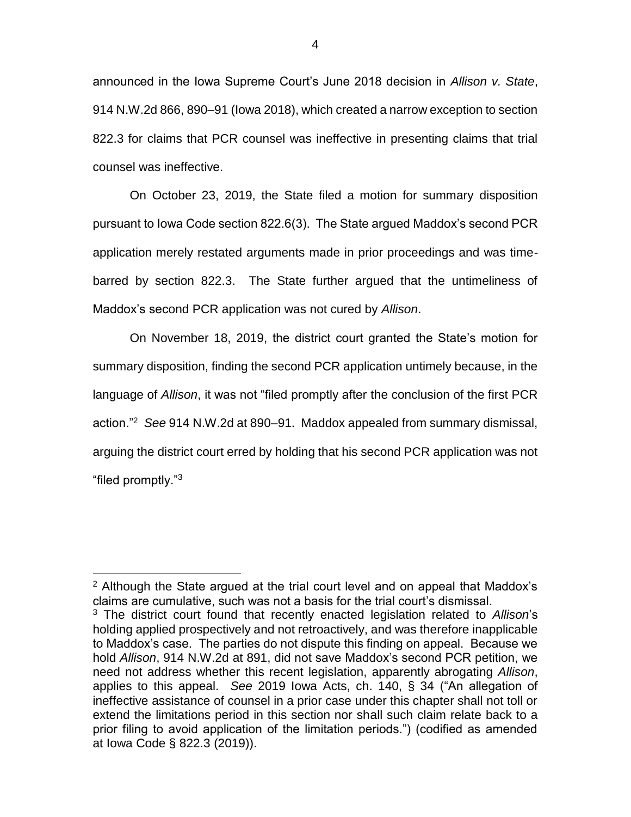announced in the Iowa Supreme Court's June 2018 decision in *Allison v. State*, 914 N.W.2d 866, 890–91 (Iowa 2018), which created a narrow exception to section 822.3 for claims that PCR counsel was ineffective in presenting claims that trial counsel was ineffective.

On October 23, 2019, the State filed a motion for summary disposition pursuant to Iowa Code section 822.6(3). The State argued Maddox's second PCR application merely restated arguments made in prior proceedings and was timebarred by section 822.3. The State further argued that the untimeliness of Maddox's second PCR application was not cured by *Allison*.

On November 18, 2019, the district court granted the State's motion for summary disposition, finding the second PCR application untimely because, in the language of *Allison*, it was not "filed promptly after the conclusion of the first PCR action."<sup>2</sup> *See* 914 N.W.2d at 890–91. Maddox appealed from summary dismissal, arguing the district court erred by holding that his second PCR application was not "filed promptly."<sup>3</sup>

 $\overline{a}$ 

 $2$  Although the State argued at the trial court level and on appeal that Maddox's claims are cumulative, such was not a basis for the trial court's dismissal.

<sup>3</sup> The district court found that recently enacted legislation related to *Allison*'s holding applied prospectively and not retroactively, and was therefore inapplicable to Maddox's case. The parties do not dispute this finding on appeal. Because we hold *Allison*, 914 N.W.2d at 891, did not save Maddox's second PCR petition, we need not address whether this recent legislation, apparently abrogating *Allison*, applies to this appeal. *See* 2019 Iowa Acts, ch. 140, § 34 ("An allegation of ineffective assistance of counsel in a prior case under this chapter shall not toll or extend the limitations period in this section nor shall such claim relate back to a prior filing to avoid application of the limitation periods.") (codified as amended at Iowa Code § 822.3 (2019)).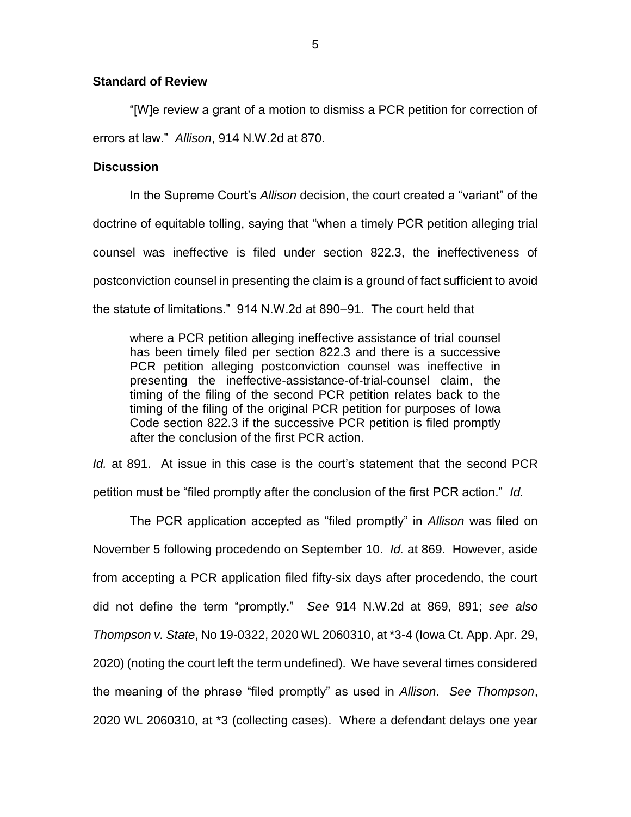### **Standard of Review**

"[W]e review a grant of a motion to dismiss a PCR petition for correction of errors at law." *Allison*, 914 N.W.2d at 870.

### **Discussion**

In the Supreme Court's *Allison* decision, the court created a "variant" of the doctrine of equitable tolling, saying that "when a timely PCR petition alleging trial counsel was ineffective is filed under section 822.3, the ineffectiveness of postconviction counsel in presenting the claim is a ground of fact sufficient to avoid the statute of limitations." 914 N.W.2d at 890–91. The court held that

where a PCR petition alleging ineffective assistance of trial counsel has been timely filed per section 822.3 and there is a successive PCR petition alleging postconviction counsel was ineffective in presenting the ineffective-assistance-of-trial-counsel claim, the timing of the filing of the second PCR petition relates back to the timing of the filing of the original PCR petition for purposes of Iowa Code section 822.3 if the successive PCR petition is filed promptly after the conclusion of the first PCR action.

*Id.* at 891. At issue in this case is the court's statement that the second PCR petition must be "filed promptly after the conclusion of the first PCR action." *Id.* 

The PCR application accepted as "filed promptly" in *Allison* was filed on November 5 following procedendo on September 10. *Id.* at 869. However, aside from accepting a PCR application filed fifty-six days after procedendo, the court did not define the term "promptly." *See* 914 N.W.2d at 869, 891; *see also Thompson v. State*, No 19-0322, 2020 WL 2060310, at \*3-4 (Iowa Ct. App. Apr. 29, 2020) (noting the court left the term undefined). We have several times considered the meaning of the phrase "filed promptly" as used in *Allison*. *See Thompson*, 2020 WL 2060310, at \*3 (collecting cases). Where a defendant delays one year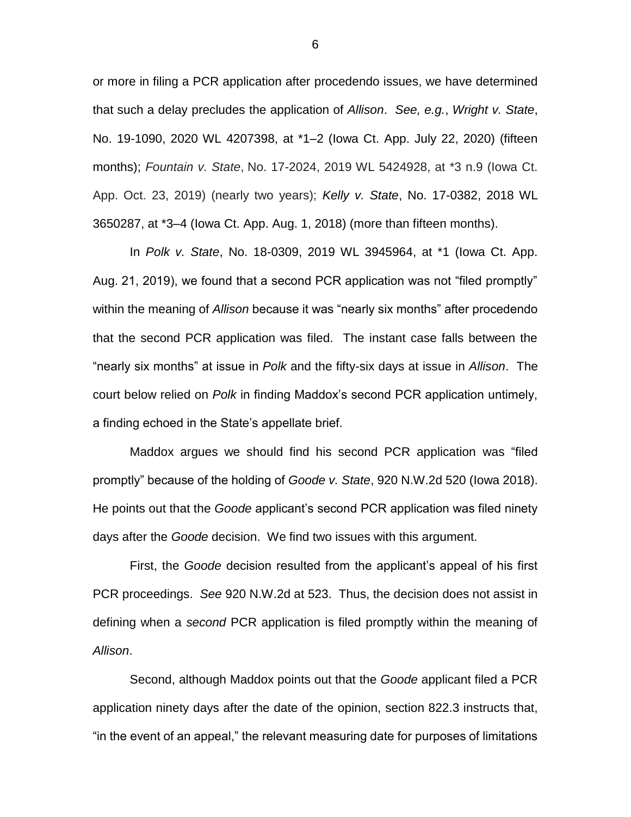or more in filing a PCR application after procedendo issues, we have determined that such a delay precludes the application of *Allison*. *See, e.g.*, *Wright v. State*, No. 19-1090, 2020 WL 4207398, at \*1–2 (Iowa Ct. App. July 22, 2020) (fifteen months); *Fountain v. State*, No. 17-2024, 2019 WL 5424928, at \*3 n.9 (Iowa Ct. App. Oct. 23, 2019) (nearly two years); *Kelly v. State*, No. 17-0382, 2018 WL 3650287, at \*3–4 (Iowa Ct. App. Aug. 1, 2018) (more than fifteen months).

In *Polk v. State*, No. 18-0309, 2019 WL 3945964, at \*1 (Iowa Ct. App. Aug. 21, 2019), we found that a second PCR application was not "filed promptly" within the meaning of *Allison* because it was "nearly six months" after procedendo that the second PCR application was filed. The instant case falls between the "nearly six months" at issue in *Polk* and the fifty-six days at issue in *Allison*.The court below relied on *Polk* in finding Maddox's second PCR application untimely, a finding echoed in the State's appellate brief.

Maddox argues we should find his second PCR application was "filed promptly" because of the holding of *Goode v. State*, 920 N.W.2d 520 (Iowa 2018). He points out that the *Goode* applicant's second PCR application was filed ninety days after the *Goode* decision. We find two issues with this argument.

First, the *Goode* decision resulted from the applicant's appeal of his first PCR proceedings. *See* 920 N.W.2d at 523. Thus, the decision does not assist in defining when a *second* PCR application is filed promptly within the meaning of *Allison*.

Second, although Maddox points out that the *Goode* applicant filed a PCR application ninety days after the date of the opinion, section 822.3 instructs that, "in the event of an appeal," the relevant measuring date for purposes of limitations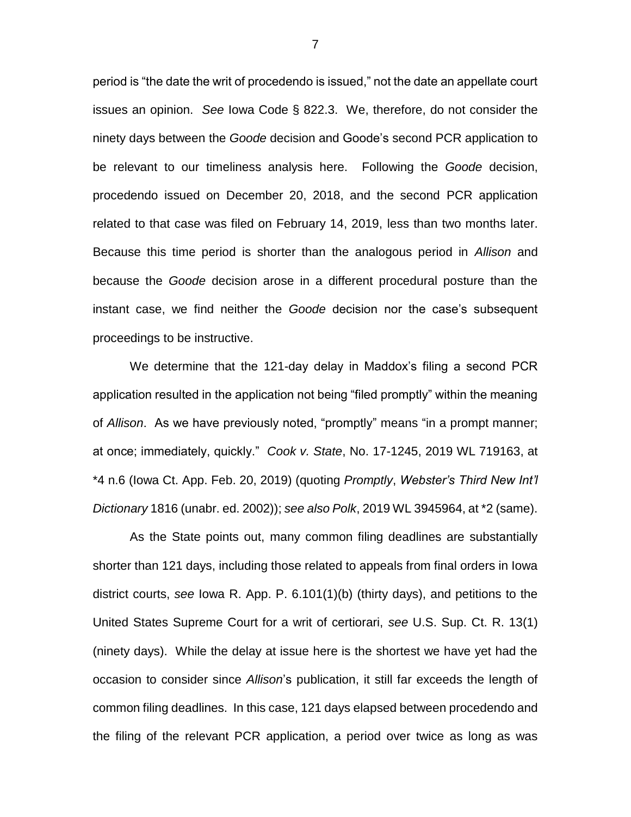period is "the date the writ of procedendo is issued," not the date an appellate court issues an opinion. *See* Iowa Code § 822.3. We, therefore, do not consider the ninety days between the *Goode* decision and Goode's second PCR application to be relevant to our timeliness analysis here.Following the *Goode* decision, procedendo issued on December 20, 2018, and the second PCR application related to that case was filed on February 14, 2019, less than two months later. Because this time period is shorter than the analogous period in *Allison* and because the *Goode* decision arose in a different procedural posture than the instant case, we find neither the *Goode* decision nor the case's subsequent proceedings to be instructive.

We determine that the 121-day delay in Maddox's filing a second PCR application resulted in the application not being "filed promptly" within the meaning of *Allison*. As we have previously noted, "promptly" means "in a prompt manner; at once; immediately, quickly." *Cook v. State*, No. 17-1245, 2019 WL 719163, at \*4 n.6 (Iowa Ct. App. Feb. 20, 2019) (quoting *Promptly*, *Webster's Third New Int'l Dictionary* 1816 (unabr. ed. 2002)); *see also Polk*, 2019 WL 3945964, at \*2 (same).

As the State points out, many common filing deadlines are substantially shorter than 121 days, including those related to appeals from final orders in Iowa district courts, *see* Iowa R. App. P. 6.101(1)(b) (thirty days), and petitions to the United States Supreme Court for a writ of certiorari, *see* U.S. Sup. Ct. R. 13(1) (ninety days). While the delay at issue here is the shortest we have yet had the occasion to consider since *Allison*'s publication, it still far exceeds the length of common filing deadlines. In this case, 121 days elapsed between procedendo and the filing of the relevant PCR application, a period over twice as long as was

7